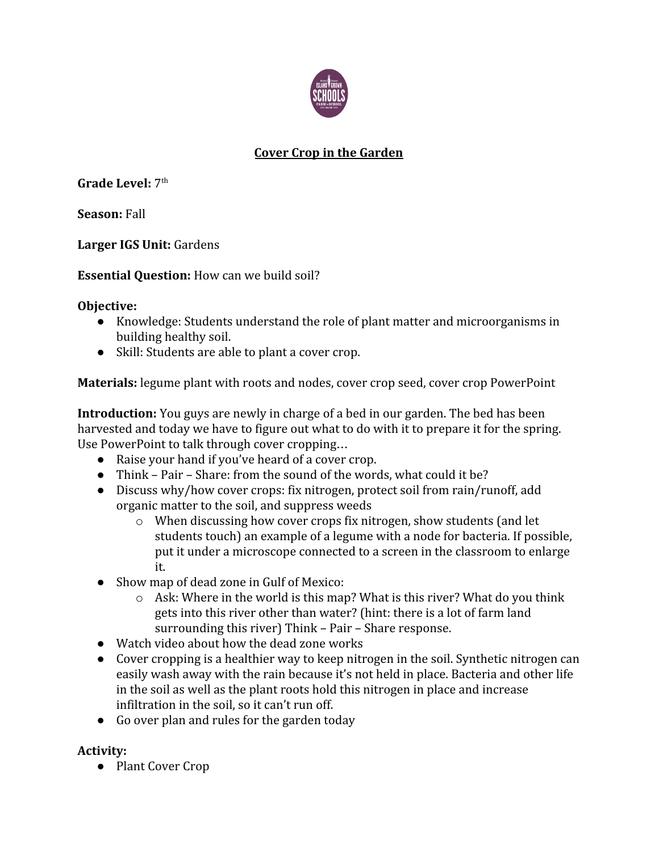

## **Cover Crop in the Garden**

Grade Level: 7<sup>th</sup>

**Season:** Fall

**Larger IGS Unit:** Gardens

**Essential Question:** How can we build soil?

## **Objective:**

- Knowledge: Students understand the role of plant matter and microorganisms in building healthy soil.
- Skill: Students are able to plant a cover crop.

**Materials:** legume plant with roots and nodes, cover crop seed, cover crop PowerPoint

**Introduction:** You guys are newly in charge of a bed in our garden. The bed has been harvested and today we have to figure out what to do with it to prepare it for the spring. Use PowerPoint to talk through cover cropping…

- Raise your hand if you've heard of a cover crop.
- Think Pair Share: from the sound of the words, what could it be?
- Discuss why/how cover crops: fix nitrogen, protect soil from rain/runoff, add organic matter to the soil, and suppress weeds
	- o When discussing how cover crops fix nitrogen, show students (and let students touch) an example of a legume with a node for bacteria. If possible, put it under a microscope connected to a screen in the classroom to enlarge it.
- Show map of dead zone in Gulf of Mexico:
	- o Ask: Where in the world is this map? What is this river? What do you think gets into this river other than water? (hint: there is a lot of farm land surrounding this river) Think – Pair – Share response.
- Watch video about how the dead zone works
- Cover cropping is a healthier way to keep nitrogen in the soil. Synthetic nitrogen can easily wash away with the rain because it's not held in place. Bacteria and other life in the soil as well as the plant roots hold this nitrogen in place and increase infiltration in the soil, so it can't run off.
- Go over plan and rules for the garden today

## **Activity:**

● Plant Cover Crop